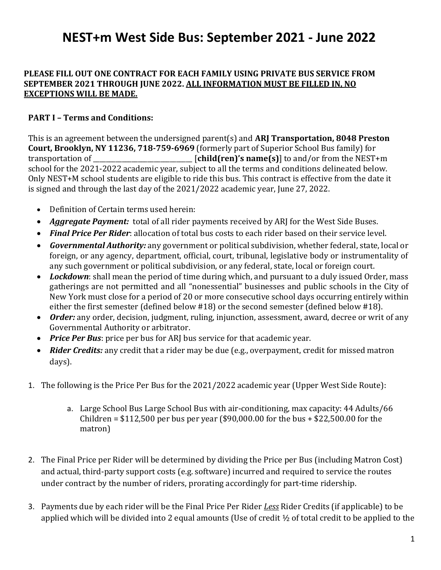#### **PLEASE FILL OUT ONE CONTRACT FOR EACH FAMILY USING PRIVATE BUS SERVICE FROM SEPTEMBER 2021 THROUGH JUNE 2022. ALL INFORMATION MUST BE FILLED IN, NO EXCEPTIONS WILL BE MADE.**

### **PART I – Terms and Conditions:**

This is an agreement between the undersigned parent(s) and **ARJ Transportation, 8048 Preston Court, Brooklyn, NY 11236, 718-759-6969** (formerly part of Superior School Bus family) for transportation of \_\_\_\_\_\_\_\_\_\_\_\_\_\_\_\_\_\_\_\_\_\_\_\_\_\_\_\_\_\_\_ [**child(ren)'s name(s)**] to and/or from the NEST+m school for the 2021-2022 academic year, subject to all the terms and conditions delineated below. Only NEST+M school students are eligible to ride this bus. This contract is effective from the date it is signed and through the last day of the 2021/2022 academic year, June 27, 2022.

- Definition of Certain terms used herein:
- *Aggregate Payment:* total of all rider payments received by ARJ for the West Side Buses.
- *Final Price Per Rider*: allocation of total bus costs to each rider based on their service level.
- *Governmental Authority:* any government or political subdivision, whether federal, state, local or foreign, or any agency, department, official, court, tribunal, legislative body or instrumentality of any such government or political subdivision, or any federal, state, local or foreign court.
- Lockdown: shall mean the period of time during which, and pursuant to a duly issued Order, mass gatherings are not permitted and all "nonessential" businesses and public schools in the City of New York must close for a period of 20 or more consecutive school days occurring entirely within either the first semester (defined below #18) or the second semester (defined below #18).
- *Order:* any order, decision, judgment, ruling, injunction, assessment, award, decree or writ of any Governmental Authority or arbitrator.
- *Price Per Bus*: price per bus for ARJ bus service for that academic year.
- *Rider Credits:* any credit that a rider may be due (e.g., overpayment, credit for missed matron days).
- 1. The following is the Price Per Bus for the 2021/2022 academic year (Upper West Side Route):
	- a. Large School Bus Large School Bus with air-conditioning, max capacity: 44 Adults/66 Children = \$112,500 per bus per year (\$90,000.00 for the bus + \$22,500.00 for the matron)
- 2. The Final Price per Rider will be determined by dividing the Price per Bus (including Matron Cost) and actual, third-party support costs (e.g. software) incurred and required to service the routes under contract by the number of riders, prorating accordingly for part-time ridership.
- 3. Payments due by each rider will be the Final Price Per Rider *Less* Rider Credits (if applicable) to be applied which will be divided into 2 equal amounts (Use of credit ½ of total credit to be applied to the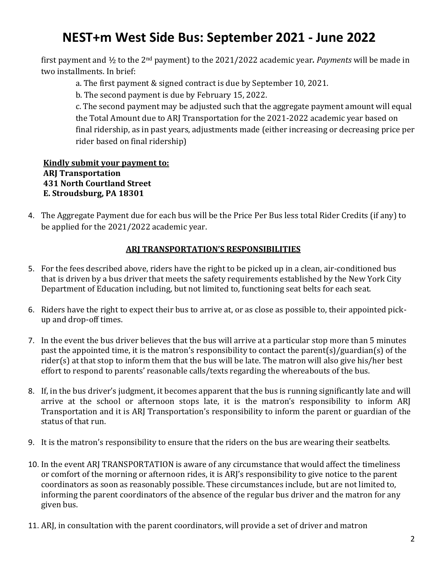first payment and ½ to the 2nd payment) to the 2021/2022 academic year*. Payments* will be made in two installments. In brief:

a. The first payment & signed contract is due by September 10, 2021.

b. The second payment is due by February 15, 2022.

c. The second payment may be adjusted such that the aggregate payment amount will equal the Total Amount due to ARJ Transportation for the 2021-2022 academic year based on final ridership, as in past years, adjustments made (either increasing or decreasing price per rider based on final ridership)

#### **Kindly submit your payment to: ARJ Transportation 431 North Courtland Street E. Stroudsburg, PA 18301**

4. The Aggregate Payment due for each bus will be the Price Per Bus less total Rider Credits (if any) to be applied for the 2021/2022 academic year.

### **ARJ TRANSPORTATION'S RESPONSIBILITIES**

- 5. For the fees described above, riders have the right to be picked up in a clean, air-conditioned bus that is driven by a bus driver that meets the safety requirements established by the New York City Department of Education including, but not limited to, functioning seat belts for each seat.
- 6. Riders have the right to expect their bus to arrive at, or as close as possible to, their appointed pickup and drop-off times.
- 7. In the event the bus driver believes that the bus will arrive at a particular stop more than 5 minutes past the appointed time, it is the matron's responsibility to contact the parent(s)/guardian(s) of the rider(s) at that stop to inform them that the bus will be late. The matron will also give his/her best effort to respond to parents' reasonable calls/texts regarding the whereabouts of the bus.
- 8. If, in the bus driver's judgment, it becomes apparent that the bus is running significantly late and will arrive at the school or afternoon stops late, it is the matron's responsibility to inform ARJ Transportation and it is ARJ Transportation's responsibility to inform the parent or guardian of the status of that run.
- 9. It is the matron's responsibility to ensure that the riders on the bus are wearing their seatbelts.
- 10. In the event ARJ TRANSPORTATION is aware of any circumstance that would affect the timeliness or comfort of the morning or afternoon rides, it is ARJ's responsibility to give notice to the parent coordinators as soon as reasonably possible. These circumstances include, but are not limited to, informing the parent coordinators of the absence of the regular bus driver and the matron for any given bus.
- 11. ARJ, in consultation with the parent coordinators, will provide a set of driver and matron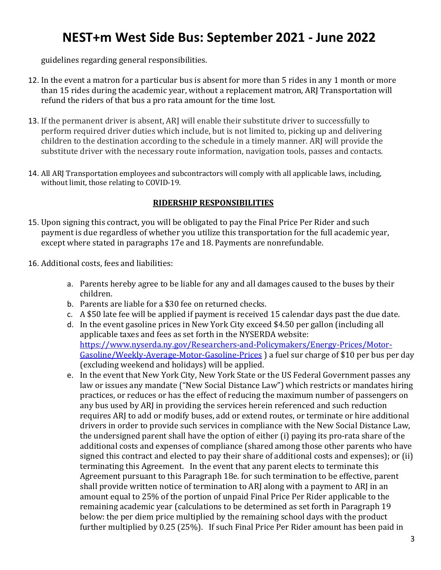guidelines regarding general responsibilities.

- 12. In the event a matron for a particular bus is absent for more than 5 rides in any 1 month or more than 15 rides during the academic year, without a replacement matron, ARJ Transportation will refund the riders of that bus a pro rata amount for the time lost.
- 13. If the permanent driver is absent, ARJ will enable their substitute driver to successfully to perform required driver duties which include, but is not limited to, picking up and delivering children to the destination according to the schedule in a timely manner. ARJ will provide the substitute driver with the necessary route information, navigation tools, passes and contacts.
- 14. All ARJ Transportation employees and subcontractors will comply with all applicable laws, including, without limit, those relating to COVID-19.

### **RIDERSHIP RESPONSIBILITIES**

- 15. Upon signing this contract, you will be obligated to pay the Final Price Per Rider and such payment is due regardless of whether you utilize this transportation for the full academic year, except where stated in paragraphs 17e and 18. Payments are nonrefundable.
- 16. Additional costs, fees and liabilities:
	- a. Parents hereby agree to be liable for any and all damages caused to the buses by their children.
	- b. Parents are liable for a \$30 fee on returned checks.
	- c. A \$50 late fee will be applied if payment is received 15 calendar days past the due date.
	- d. In the event gasoline prices in New York City exceed \$4.50 per gallon (including all applicable taxes and fees as set forth in the NYSERDA website: [https://www.nyserda.ny.gov/Researchers-and-Policymakers/Energy-Prices/Motor-](https://www.nyserda.ny.gov/Researchers-and-Policymakers/Energy-Prices/Motor-Gasoline/Weekly-Average-Motor-Gasoline-Prices)[Gasoline/Weekly-Average-Motor-Gasoline-Prices](https://www.nyserda.ny.gov/Researchers-and-Policymakers/Energy-Prices/Motor-Gasoline/Weekly-Average-Motor-Gasoline-Prices) ) a fuel sur charge of \$10 per bus per day (excluding weekend and holidays) will be applied.
	- e. In the event that New York City, New York State or the US Federal Government passes any law or issues any mandate ("New Social Distance Law") which restricts or mandates hiring practices, or reduces or has the effect of reducing the maximum number of passengers on any bus used by ARJ in providing the services herein referenced and such reduction requires ARJ to add or modify buses, add or extend routes, or terminate or hire additional drivers in order to provide such services in compliance with the New Social Distance Law, the undersigned parent shall have the option of either (i) paying its pro-rata share of the additional costs and expenses of compliance (shared among those other parents who have signed this contract and elected to pay their share of additional costs and expenses); or (ii) terminating this Agreement. In the event that any parent elects to terminate this Agreement pursuant to this Paragraph 18e. for such termination to be effective, parent shall provide written notice of termination to ARJ along with a payment to ARJ in an amount equal to 25% of the portion of unpaid Final Price Per Rider applicable to the remaining academic year (calculations to be determined as set forth in Paragraph 19 below: the per diem price multiplied by the remaining school days with the product further multiplied by 0.25 (25%). If such Final Price Per Rider amount has been paid in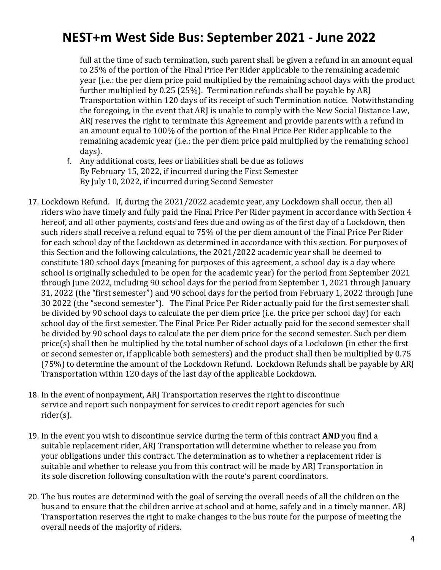full at the time of such termination, such parent shall be given a refund in an amount equal to 25% of the portion of the Final Price Per Rider applicable to the remaining academic year (i.e.: the per diem price paid multiplied by the remaining school days with the product further multiplied by 0.25 (25%). Termination refunds shall be payable by ARJ Transportation within 120 days of its receipt of such Termination notice. Notwithstanding the foregoing, in the event that ARJ is unable to comply with the New Social Distance Law, ARJ reserves the right to terminate this Agreement and provide parents with a refund in an amount equal to 100% of the portion of the Final Price Per Rider applicable to the remaining academic year (i.e.: the per diem price paid multiplied by the remaining school days).

- f. Any additional costs, fees or liabilities shall be due as follows By February 15, 2022, if incurred during the First Semester By July 10, 2022, if incurred during Second Semester
- 17. Lockdown Refund. If, during the 2021/2022 academic year, any Lockdown shall occur, then all riders who have timely and fully paid the Final Price Per Rider payment in accordance with Section 4 hereof, and all other payments, costs and fees due and owing as of the first day of a Lockdown, then such riders shall receive a refund equal to 75% of the per diem amount of the Final Price Per Rider for each school day of the Lockdown as determined in accordance with this section. For purposes of this Section and the following calculations, the 2021/2022 academic year shall be deemed to constitute 180 school days (meaning for purposes of this agreement, a school day is a day where school is originally scheduled to be open for the academic year) for the period from September 2021 through June 2022, including 90 school days for the period from September 1, 2021 through January 31, 2022 (the "first semester") and 90 school days for the period from February 1, 2022 through June 30 2022 (the "second semester"). The Final Price Per Rider actually paid for the first semester shall be divided by 90 school days to calculate the per diem price (i.e. the price per school day) for each school day of the first semester. The Final Price Per Rider actually paid for the second semester shall be divided by 90 school days to calculate the per diem price for the second semester. Such per diem price(s) shall then be multiplied by the total number of school days of a Lockdown (in ether the first or second semester or, if applicable both semesters) and the product shall then be multiplied by 0.75 (75%) to determine the amount of the Lockdown Refund. Lockdown Refunds shall be payable by ARJ Transportation within 120 days of the last day of the applicable Lockdown.
- 18. In the event of nonpayment, ARJ Transportation reserves the right to discontinue service and report such nonpayment for services to credit report agencies for such rider(s).
- 19. In the event you wish to discontinue service during the term of this contract **AND** you find a suitable replacement rider, ARJ Transportation will determine whether to release you from your obligations under this contract. The determination as to whether a replacement rider is suitable and whether to release you from this contract will be made by ARJ Transportation in its sole discretion following consultation with the route's parent coordinators.
- 20. The bus routes are determined with the goal of serving the overall needs of all the children on the bus and to ensure that the children arrive at school and at home, safely and in a timely manner. ARJ Transportation reserves the right to make changes to the bus route for the purpose of meeting the overall needs of the majority of riders.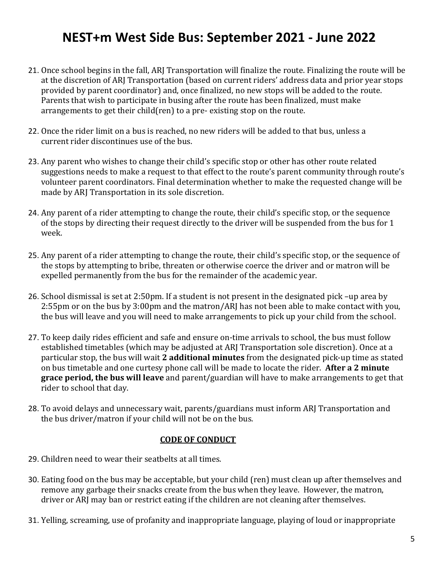- 21. Once school begins in the fall, ARJ Transportation will finalize the route. Finalizing the route will be at the discretion of ARJ Transportation (based on current riders' address data and prior year stops provided by parent coordinator) and, once finalized, no new stops will be added to the route. Parents that wish to participate in busing after the route has been finalized, must make arrangements to get their child(ren) to a pre- existing stop on the route.
- 22. Once the rider limit on a bus is reached, no new riders will be added to that bus, unless a current rider discontinues use of the bus.
- 23. Any parent who wishes to change their child's specific stop or other has other route related suggestions needs to make a request to that effect to the route's parent community through route's volunteer parent coordinators. Final determination whether to make the requested change will be made by ARJ Transportation in its sole discretion.
- 24. Any parent of a rider attempting to change the route, their child's specific stop, or the sequence of the stops by directing their request directly to the driver will be suspended from the bus for 1 week.
- 25. Any parent of a rider attempting to change the route, their child's specific stop, or the sequence of the stops by attempting to bribe, threaten or otherwise coerce the driver and or matron will be expelled permanently from the bus for the remainder of the academic year.
- 26. School dismissal is set at 2:50pm. If a student is not present in the designated pick –up area by 2:55pm or on the bus by 3:00pm and the matron/ARJ has not been able to make contact with you, the bus will leave and you will need to make arrangements to pick up your child from the school.
- 27. To keep daily rides efficient and safe and ensure on-time arrivals to school, the bus must follow established timetables (which may be adjusted at ARJ Transportation sole discretion). Once at a particular stop, the bus will wait **2 additional minutes** from the designated pick-up time as stated on bus timetable and one curtesy phone call will be made to locate the rider. **After a 2 minute grace period, the bus will leave** and parent/guardian will have to make arrangements to get that rider to school that day.
- 28. To avoid delays and unnecessary wait, parents/guardians must inform ARJ Transportation and the bus driver/matron if your child will not be on the bus.

#### **CODE OF CONDUCT**

- 29. Children need to wear their seatbelts at all times.
- 30. Eating food on the bus may be acceptable, but your child (ren) must clean up after themselves and remove any garbage their snacks create from the bus when they leave. However, the matron, driver or ARJ may ban or restrict eating if the children are not cleaning after themselves.
- 31. Yelling, screaming, use of profanity and inappropriate language, playing of loud or inappropriate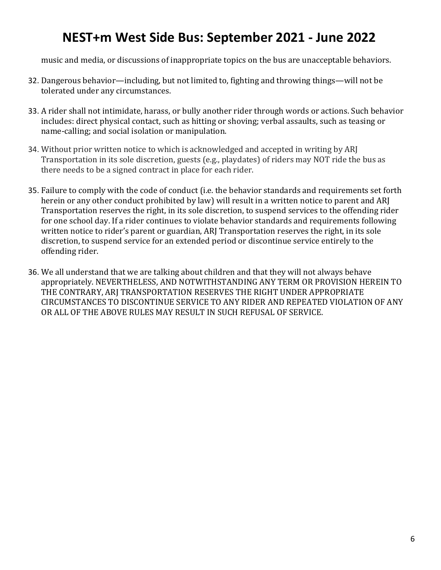music and media, or discussions of inappropriate topics on the bus are unacceptable behaviors.

- 32. Dangerous behavior—including, but not limited to, fighting and throwing things—will not be tolerated under any circumstances.
- 33. A rider shall not intimidate, harass, or bully another rider through words or actions. Such behavior includes: direct physical contact, such as hitting or shoving; verbal assaults, such as teasing or name-calling; and social isolation or manipulation.
- 34. Without prior written notice to which is acknowledged and accepted in writing by ARJ Transportation in its sole discretion, guests (e.g., playdates) of riders may NOT ride the bus as there needs to be a signed contract in place for each rider.
- 35. Failure to comply with the code of conduct (i.e. the behavior standards and requirements set forth herein or any other conduct prohibited by law) will result in a written notice to parent and ARJ Transportation reserves the right, in its sole discretion, to suspend services to the offending rider for one school day. If a rider continues to violate behavior standards and requirements following written notice to rider's parent or guardian, ARJ Transportation reserves the right, in its sole discretion, to suspend service for an extended period or discontinue service entirely to the offending rider.
- 36. We all understand that we are talking about children and that they will not always behave appropriately. NEVERTHELESS, AND NOTWITHSTANDING ANY TERM OR PROVISION HEREIN TO THE CONTRARY, ARJ TRANSPORTATION RESERVES THE RIGHT UNDER APPROPRIATE CIRCUMSTANCES TO DISCONTINUE SERVICE TO ANY RIDER AND REPEATED VIOLATION OF ANY OR ALL OF THE ABOVE RULES MAY RESULT IN SUCH REFUSAL OF SERVICE.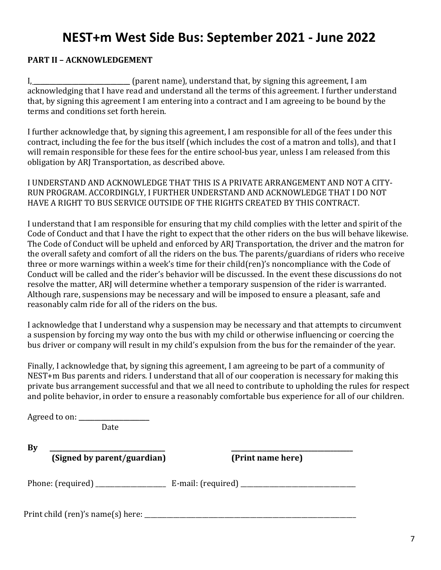### **PART II – ACKNOWLEDGEMENT**

I, \_\_\_\_\_\_\_\_\_\_\_\_\_\_\_\_\_\_\_\_\_\_\_\_\_\_\_\_\_\_ (parent name), understand that, by signing this agreement, I am acknowledging that I have read and understand all the terms of this agreement. I further understand that, by signing this agreement I am entering into a contract and I am agreeing to be bound by the terms and conditions set forth herein.

I further acknowledge that, by signing this agreement, I am responsible for all of the fees under this contract, including the fee for the bus itself (which includes the cost of a matron and tolls), and that I will remain responsible for these fees for the entire school-bus year, unless I am released from this obligation by ARJ Transportation, as described above.

I UNDERSTAND AND ACKNOWLEDGE THAT THIS IS A PRIVATE ARRANGEMENT AND NOT A CITY-RUN PROGRAM. ACCORDINGLY, I FURTHER UNDERSTAND AND ACKNOWLEDGE THAT I DO NOT HAVE A RIGHT TO BUS SERVICE OUTSIDE OF THE RIGHTS CREATED BY THIS CONTRACT.

I understand that I am responsible for ensuring that my child complies with the letter and spirit of the Code of Conduct and that I have the right to expect that the other riders on the bus will behave likewise. The Code of Conduct will be upheld and enforced by ARJ Transportation, the driver and the matron for the overall safety and comfort of all the riders on the bus. The parents/guardians of riders who receive three or more warnings within a week's time for their child(ren)'s noncompliance with the Code of Conduct will be called and the rider's behavior will be discussed. In the event these discussions do not resolve the matter, ARJ will determine whether a temporary suspension of the rider is warranted. Although rare, suspensions may be necessary and will be imposed to ensure a pleasant, safe and reasonably calm ride for all of the riders on the bus.

I acknowledge that I understand why a suspension may be necessary and that attempts to circumvent a suspension by forcing my way onto the bus with my child or otherwise influencing or coercing the bus driver or company will result in my child's expulsion from the bus for the remainder of the year.

Finally, I acknowledge that, by signing this agreement, I am agreeing to be part of a community of NEST+m Bus parents and riders. I understand that all of our cooperation is necessary for making this private bus arrangement successful and that we all need to contribute to upholding the rules for respect and polite behavior, in order to ensure a reasonably comfortable bus experience for all of our children.

|    | Date                                         |                   |
|----|----------------------------------------------|-------------------|
| By |                                              |                   |
|    | (Signed by parent/guardian)                  | (Print name here) |
|    |                                              |                   |
|    | Print child (ren)'s name(s) here: __________ |                   |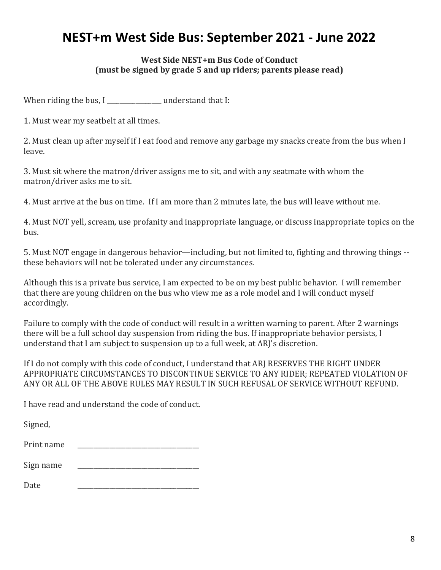### **West Side NEST+m Bus Code of Conduct (must be signed by grade 5 and up riders; parents please read)**

When riding the bus, I understand that I:

1. Must wear my seatbelt at all times.

2. Must clean up after myself if I eat food and remove any garbage my snacks create from the bus when I leave.

3. Must sit where the matron/driver assigns me to sit, and with any seatmate with whom the matron/driver asks me to sit.

4. Must arrive at the bus on time. If I am more than 2 minutes late, the bus will leave without me.

4. Must NOT yell, scream, use profanity and inappropriate language, or discuss inappropriate topics on the bus.

5. Must NOT engage in dangerous behavior—including, but not limited to, fighting and throwing things - these behaviors will not be tolerated under any circumstances.

Although this is a private bus service, I am expected to be on my best public behavior. I will remember that there are young children on the bus who view me as a role model and I will conduct myself accordingly.

Failure to comply with the code of conduct will result in a written warning to parent. After 2 warnings there will be a full school day suspension from riding the bus. If inappropriate behavior persists, I understand that I am subject to suspension up to a full week, at ARJ's discretion.

If I do not comply with this code of conduct, I understand that ARJ RESERVES THE RIGHT UNDER APPROPRIATE CIRCUMSTANCES TO DISCONTINUE SERVICE TO ANY RIDER; REPEATED VIOLATION OF ANY OR ALL OF THE ABOVE RULES MAY RESULT IN SUCH REFUSAL OF SERVICE WITHOUT REFUND.

I have read and understand the code of conduct.

Signed,

Sign name

Date \_\_\_\_\_\_\_\_\_\_\_\_\_\_\_\_\_\_\_\_\_\_\_\_\_\_\_\_\_\_\_\_\_\_\_\_\_\_